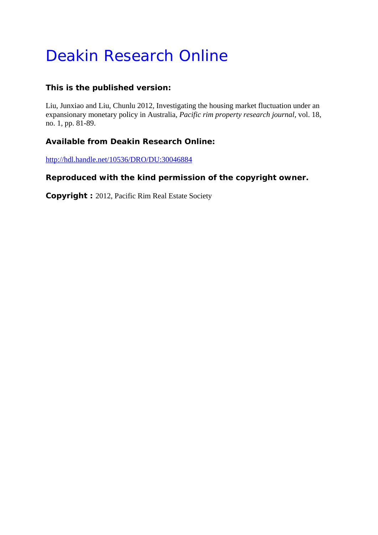# Deakin Research Online

# **This is the published version:**

Liu, Junxiao and Liu, Chunlu 2012, Investigating the housing market fluctuation under an expansionary monetary policy in Australia*, Pacific rim property research journal*, vol. 18, no. 1, pp. 81-89.

# **Available from Deakin Research Online:**

http://hdl.handle.net/10536/DRO/DU:30046884

# **Reproduced with the kind permission of the copyright owner.**

**Copyright :** 2012, Pacific Rim Real Estate Society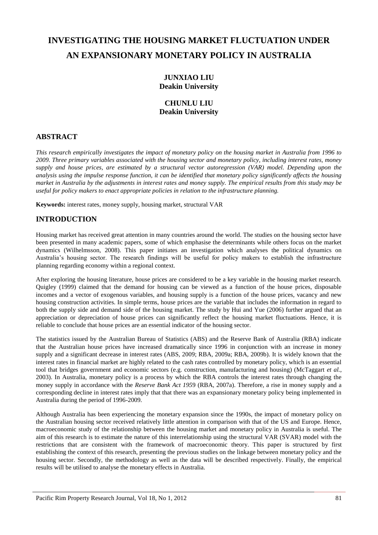# **INVESTIGATING THE HOUSING MARKET FLUCTUATION UNDER AN EXPANSIONARY MONETARY POLICY IN AUSTRALIA**

### **JUNXIAO LIU Deakin University**

# **CHUNLU LIU Deakin University**

# **ABSTRACT**

*This research empirically investigates the impact of monetary policy on the housing market in Australia from 1996 to 2009. Three primary variables associated with the housing sector and monetary policy, including interest rates, money supply and house prices, are estimated by a structural vector autoregression (VAR) model. Depending upon the analysis using the impulse response function, it can be identified that monetary policy significantly affects the housing market in Australia by the adjustments in interest rates and money supply. The empirical results from this study may be useful for policy makers to enact appropriate policies in relation to the infrastructure planning.*

**Keywords:** interest rates, money supply, housing market, structural VAR

# **INTRODUCTION**

Housing market has received great attention in many countries around the world. The studies on the housing sector have been presented in many academic papers, some of which emphasise the determinants while others focus on the market dynamics (Wilhelmsson, 2008). This paper initiates an investigation which analyses the political dynamics on Australia"s housing sector. The research findings will be useful for policy makers to establish the infrastructure planning regarding economy within a regional context.

After exploring the housing literature, house prices are considered to be a key variable in the housing market research. Quigley (1999) claimed that the demand for housing can be viewed as a function of the house prices, disposable incomes and a vector of exogenous variables, and housing supply is a function of the house prices, vacancy and new housing construction activities. In simple terms, house prices are the variable that includes the information in regard to both the supply side and demand side of the housing market. The study by Hui and Yue (2006) further argued that an appreciation or depreciation of house prices can significantly reflect the housing market fluctuations. Hence, it is reliable to conclude that house prices are an essential indicator of the housing sector.

The statistics issued by the Australian Bureau of Statistics (ABS) and the Reserve Bank of Australia (RBA) indicate that the Australian house prices have increased dramatically since 1996 in conjunction with an increase in money supply and a significant decrease in interest rates (ABS, 2009; RBA, 2009a; RBA, 2009b). It is widely known that the interest rates in financial market are highly related to the cash rates controlled by monetary policy, which is an essential tool that bridges government and economic sectors (e.g. construction, manufacturing and housing) (McTaggart *et al.*, 2003). In Australia, monetary policy is a process by which the RBA controls the interest rates through changing the money supply in accordance with the *Reserve Bank Act 195*9 (RBA, 2007a). Therefore, a rise in money supply and a corresponding decline in interest rates imply that that there was an expansionary monetary policy being implemented in Australia during the period of 1996-2009.

Although Australia has been experiencing the monetary expansion since the 1990s, the impact of monetary policy on the Australian housing sector received relatively little attention in comparison with that of the US and Europe. Hence, macroeconomic study of the relationship between the housing market and monetary policy in Australia is useful. The aim of this research is to estimate the nature of this interrelationship using the structural VAR (SVAR) model with the restrictions that are consistent with the framework of macroeconomic theory. This paper is structured by first establishing the context of this research, presenting the previous studies on the linkage between monetary policy and the housing sector. Secondly, the methodology as well as the data will be described respectively. Finally, the empirical results will be utilised to analyse the monetary effects in Australia.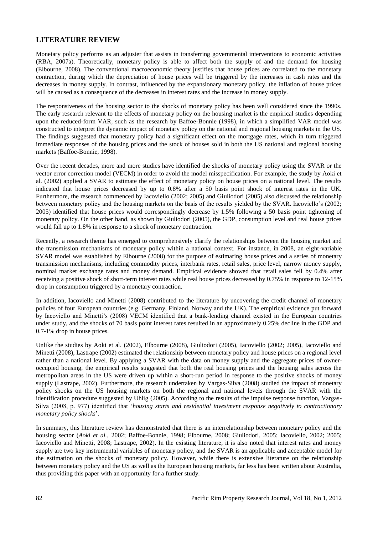### **LITERATURE REVIEW**

Monetary policy performs as an adjuster that assists in transferring governmental interventions to economic activities (RBA, 2007a). Theoretically, monetary policy is able to affect both the supply of and the demand for housing (Elbourne, 2008). The conventional macroeconomic theory justifies that house prices are correlated to the monetary contraction, during which the depreciation of house prices will be triggered by the increases in cash rates and the decreases in money supply. In contrast, influenced by the expansionary monetary policy, the inflation of house prices will be caused as a consequence of the decreases in interest rates and the increase in money supply.

The responsiveness of the housing sector to the shocks of monetary policy has been well considered since the 1990s. The early research relevant to the effects of monetary policy on the housing market is the empirical studies depending upon the reduced-form VAR, such as the research by Baffoe-Bonnie (1998), in which a simplified VAR model was constructed to interpret the dynamic impact of monetary policy on the national and regional housing markets in the US. The findings suggested that monetary policy had a significant effect on the mortgage rates, which in turn triggered immediate responses of the housing prices and the stock of houses sold in both the US national and regional housing markets (Baffoe-Bonnie, 1998).

Over the recent decades, more and more studies have identified the shocks of monetary policy using the SVAR or the vector error correction model (VECM) in order to avoid the model misspecification. For example, the study by Aoki et al. (2002) applied a SVAR to estimate the effect of monetary policy on house prices on a national level. The results indicated that house prices decreased by up to 0.8% after a 50 basis point shock of interest rates in the UK. Furthermore, the research commenced by Iacoviello (2002; 2005) and Giuliodori (2005) also discussed the relationship between monetary policy and the housing markets on the basis of the results yielded by the SVAR. Iacoviello"s (2002; 2005) identified that house prices would correspondingly decrease by 1.5% following a 50 basis point tightening of monetary policy. On the other hand, as shown by Giuliodori (2005), the GDP, consumption level and real house prices would fall up to 1.8% in response to a shock of monetary contraction.

Recently, a research theme has emerged to comprehensively clarify the relationships between the housing market and the transmission mechanisms of monetary policy within a national context. For instance, in 2008, an eight-variable SVAR model was established by Elbourne (2008) for the purpose of estimating house prices and a series of monetary transmission mechanisms, including commodity prices, interbank rates, retail sales, price level, narrow money supply, nominal market exchange rates and money demand. Empirical evidence showed that retail sales fell by 0.4% after receiving a positive shock of short-term interest rates while real house prices decreased by 0.75% in response to 12-15% drop in consumption triggered by a monetary contraction.

In addition, Iacoviello and Minetti (2008) contributed to the literature by uncovering the credit channel of monetary policies of four European countries (e.g. Germany, Finland, Norway and the UK). The empirical evidence put forward by Iacoviello and Minetti's (2008) VECM identified that a bank-lending channel existed in the European countries under study, and the shocks of 70 basis point interest rates resulted in an approximately 0.25% decline in the GDP and 0.7-1% drop in house prices.

Unlike the studies by Aoki et al. (2002), Elbourne (2008), Giuliodori (2005), Iacoviello (2002; 2005), Iacoviello and Minetti (2008), Lastrape (2002) estimated the relationship between monetary policy and house prices on a regional level rather than a national level. By applying a SVAR with the data on money supply and the aggregate prices of owneroccupied housing, the empirical results suggested that both the real housing prices and the housing sales across the metropolitan areas in the US were driven up within a short-run period in response to the positive shocks of money supply (Lastrape, 2002). Furthermore, the research undertaken by Vargas-Silva (2008) studied the impact of monetary policy shocks on the US housing markets on both the regional and national levels through the SVAR with the identification procedure suggested by Uhlig (2005). According to the results of the impulse response function, Vargas-Silva (2008, p. 977) identified that "*housing starts and residential investment response negatively to contractionary monetary policy shocks*".

In summary, this literature review has demonstrated that there is an interrelationship between monetary policy and the housing sector (*Aoki et al.,* 2002; Baffoe-Bonnie, 1998; Elbourne, 2008; Giuliodori, 2005; Iacoviello, 2002; 2005; Iacoviello and Minetti, 2008; Lastrape, 2002). In the existing literature, it is also noted that interest rates and money supply are two key instrumental variables of monetary policy, and the SVAR is an applicable and acceptable model for the estimation on the shocks of monetary policy. However, while there is extensive literature on the relationship between monetary policy and the US as well as the European housing markets, far less has been written about Australia, thus providing this paper with an opportunity for a further study.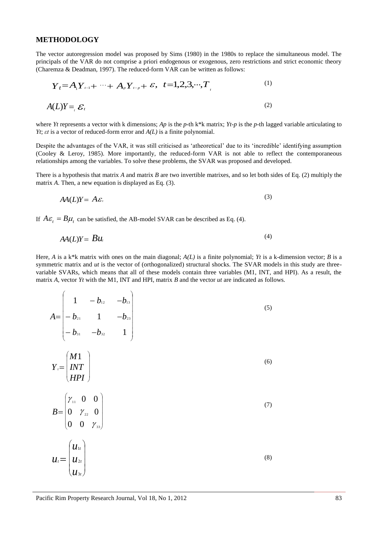#### **METHODOLOGY**

The vector autoregression model was proposed by Sims (1980) in the 1980s to replace the simultaneous model. The principals of the VAR do not comprise a priori endogenous or exogenous, zero restrictions and strict economic theory (Charemza & Deadman, 1997). The reduced-form VAR can be written as follows:

$$
Y_{t} = A_{1}Y_{t-1} + \cdots + A_{p}Y_{t-p} + \varepsilon, \quad t = 1, 2, 3, \cdots, T_{t}
$$
\n
$$
A(L)Y =_{t} \varepsilon_{t}
$$
\n(1)

where *Yt* represents a vector with k dimensions; *Ap* is the *p*-th k\*k matrix; *Yt-p* is the *p*-th lagged variable articulating to *Yt*; *εt* is a vector of reduced-form error and *A(L)* is a finite polynomial.

Despite the advantages of the VAR, it was still criticised as "atheoretical" due to its "incredible" identifying assumption (Cooley & Leroy, 1985). More importantly, the reduced-form VAR is not able to reflect the contemporaneous relationships among the variables. To solve these problems, the SVAR was proposed and developed.

There is a hypothesis that matrix *A* and matrix *B* are two invertible matrixes, and so let both sides of Eq. (2) multiply the matrix *A*. Then, a new equation is displayed as Eq. (3).

$$
AA(L)Y = A\varepsilon. \tag{3}
$$

If  $A\varepsilon_t = B\mu_t$  can be satisfied, the AB-model SVAR can be described as Eq. (4).

$$
AA(L)Y = Bu
$$
\n<sup>(4)</sup>

Here, *A* is a k<sup>\*</sup>k matrix with ones on the main diagonal;  $A(L)$  is a finite polynomial; *Yt* is a k-dimension vector; *B* is a symmetric matrix and *ut* is the vector of (orthogonalized) structural shocks. The SVAR models in this study are threevariable SVARs, which means that all of these models contain three variables (M1, INT, and HPI). As a result, the matrix *A*, vector *Yt* with the M1, INT and HPI, matrix *B* and the vector *ut* are indicated as follows.

| $A=\begin{bmatrix} 1 & -b_{12} & -b_{13} \ -b_{21} & 1 & -b_{23} \ -b_{31} & -b_{32} & 1 \end{bmatrix}$ | (5) |
|---------------------------------------------------------------------------------------------------------|-----|
| $Y_i = \begin{pmatrix} M1 \\ INT \\ HPI \end{pmatrix}$                                                  | (6) |
| $B = \begin{pmatrix} \gamma_{11} & 0 & 0 \\ 0 & \gamma_{22} & 0 \\ 0 & 0 & \gamma_{33} \end{pmatrix}$   | (7) |
| $u_i = \begin{pmatrix} u_{1i} \ u_{2i} \ u_{3i} \end{pmatrix}$                                          | (8) |

Pacific Rim Property Research Journal, Vol 18, No 1, 2012 83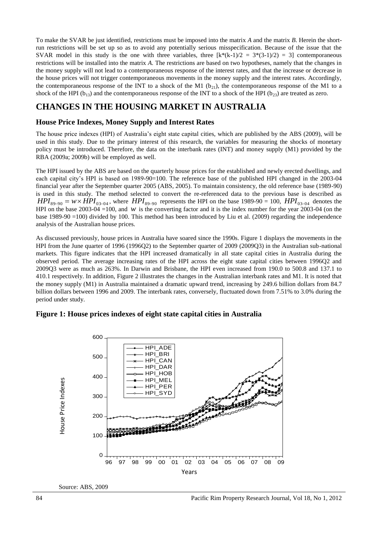To make the SVAR be just identified, restrictions must be imposed into the matrix *A* and the matrix *B*. Herein the shortrun restrictions will be set up so as to avoid any potentially serious misspecification. Because of the issue that the SVAR model in this study is the one with three variables, three  $[k^*(k-1)/2] = 3^*(3-1)/2 = 3$  contemporaneous restrictions will be installed into the matrix *A*. The restrictions are based on two hypotheses, namely that the changes in the money supply will not lead to a contemporaneous response of the interest rates, and that the increase or decrease in the house prices will not trigger contemporaneous movements in the money supply and the interest rates. Accordingly, the contemporaneous response of the INT to a shock of the M1 ( $b_{21}$ ), the contemporaneous response of the M1 to a shock of the HPI ( $b_{13}$ ) and the contemporaneous response of the INT to a shock of the HPI ( $b_{23}$ ) are treated as zero.

# **CHANGES IN THE HOUSING MARKET IN AUSTRALIA**

### **House Price Indexes, Money Supply and Interest Rates**

The house price indexes (HPI) of Australia's eight state capital cities, which are published by the ABS (2009), will be used in this study. Due to the primary interest of this research, the variables for measuring the shocks of monetary policy must be introduced. Therefore, the data on the interbank rates (INT) and money supply (M1) provided by the RBA (2009a; 2009b) will be employed as well.

The HPI issued by the ABS are based on the quarterly house prices for the established and newly erected dwellings, and each capital city"s HPI is based on 1989-90=100. The reference base of the published HPI changed in the 2003-04 financial year after the September quarter 2005 (ABS, 2005). To maintain consistency, the old reference base (1989-90) is used in this study. The method selected to convert the re-referenced data to the previous base is described as  $HPI_{89-90} = w \times HPI_{03-04}$ , where  $HPI_{89-90}$  represents the HPI on the base 1989-90 = 100,  $HPI_{03-04}$  denotes the HPI on the base 2003-04 = 100, and *w* is the converting factor and it is the index number for the year 2003-04 (on the base 1989-90 =100) divided by 100. This method has been introduced by Liu et al. (2009) regarding the independence analysis of the Australian house prices.

As discussed previously, house prices in Australia have soared since the 1990s. Figure 1 displays the movements in the HPI from the June quarter of 1996 (1996Q2) to the September quarter of 2009 (2009Q3) in the Australian sub-national markets. This figure indicates that the HPI increased dramatically in all state capital cities in Australia during the observed period. The average increasing rates of the HPI across the eight state capital cities between 1996Q2 and 2009Q3 were as much as 263%. In Darwin and Brisbane, the HPI even increased from 190.0 to 500.8 and 137.1 to 410.1 respectively. In addition, Figure 2 illustrates the changes in the Australian interbank rates and M1. It is noted that the money supply (M1) in Australia maintained a dramatic upward trend, increasing by 249.6 billion dollars from 84.7 billion dollars between 1996 and 2009. The interbank rates, conversely, fluctuated down from 7.51% to 3.0% during the period under study.

### **Figure 1: House prices indexes of eight state capital cities in Australia**



Source: ABS, 2009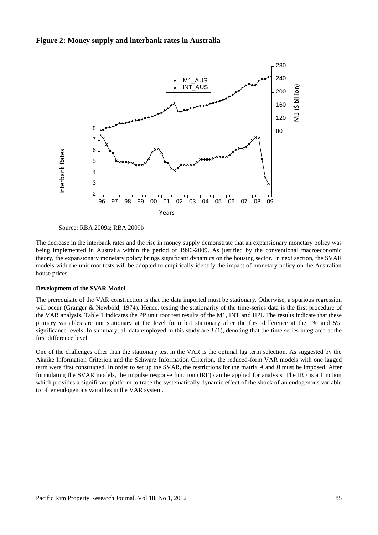### **Figure 2: Money supply and interbank rates in Australia**



Source: RBA 2009a; RBA 2009b

The decrease in the interbank rates and the rise in money supply demonstrate that an expansionary monetary policy was being implemented in Australia within the period of 1996-2009. As justified by the conventional macroeconomic theory, the expansionary monetary policy brings significant dynamics on the housing sector. In next section, the SVAR models with the unit root tests will be adopted to empirically identify the impact of monetary policy on the Australian house prices.

#### **Development of the SVAR Model**

The prerequisite of the VAR construction is that the data imported must be stationary. Otherwise, a spurious regression will occur (Granger & Newbold, 1974). Hence, testing the stationarity of the time-series data is the first procedure of the VAR analysis. Table 1 indicates the PP unit root test results of the M1, INT and HPI. The results indicate that these primary variables are not stationary at the level form but stationary after the first difference at the 1% and 5% significance levels. In summary, all data employed in this study are  $I(1)$ , denoting that the time series integrated at the first difference level.

One of the challenges other than the stationary test in the VAR is the optimal lag term selection. As suggested by the Akaike Information Criterion and the Schwarz Information Criterion, the reduced-form VAR models with one lagged term were first constructed. In order to set up the SVAR, the restrictions for the matrix *A* and *B* must be imposed. After formulating the SVAR models, the impulse response function (IRF) can be applied for analysis. The IRF is a function which provides a significant platform to trace the systematically dynamic effect of the shock of an endogenous variable to other endogenous variables in the VAR system.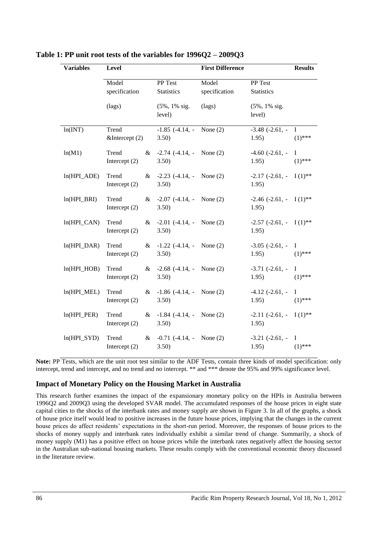| <b>Variables</b> | Level                        |      |                                           | <b>First Difference</b> |                                         | <b>Results</b>  |
|------------------|------------------------------|------|-------------------------------------------|-------------------------|-----------------------------------------|-----------------|
|                  | Model<br>specification       |      | PP Test<br><b>Statistics</b>              | Model<br>specification  | PP Test<br><b>Statistics</b>            |                 |
|                  | (lags)                       |      | $(5\%, 1\% \text{ sig.})$<br>level)       | $(\text{lags})$         | (5%, 1% sig.<br>level)                  |                 |
| ln(INT)          | Trend<br>$&$ Intercept $(2)$ |      | $-1.85$ $(-4.14, -$ None $(2)$<br>3.50)   |                         | $-3.48$ $(-2.61, -1)$<br>1.95)          | $(1)$ ***       |
| ln(M1)           | Trend<br>Intercept $(2)$     | $\&$ | $-2.74$ $(-4.14, -$ None $(2)$<br>3.50)   |                         | $-4.60$ ( $-2.61$ , $-$<br>1.95)        | 1<br>$(1)$ ***  |
| $ln(HPI \_ADE)$  | Trend<br>Intercept $(2)$     | $\&$ | $-2.23$ $(-4.14, -$ None $(2)$<br>3.50)   |                         | $-2.17$ $(-2.61, -1(1)$ **<br>1.95)     |                 |
| $ln(HPI_BRI)$    | Trend<br>Intercept $(2)$     | $\&$ | $-2.07$ $(-4.14, -$ None $(2)$<br>3.50)   |                         | $-2.46$ ( $-2.61$ , $-1(1)$ **<br>1.95) |                 |
| $ln(HPI_CAN)$    | Trend<br>Intercept $(2)$     | $\&$ | $-2.01$ $(-4.14, -$ None $(2)$<br>3.50)   |                         | $-2.57$ ( $-2.61$ , $-1(1)$ **<br>1.95) |                 |
| $ln(HPI_DAR)$    | Trend<br>Intercept $(2)$     | $\&$ | $-1.22$ $(-4.14, -$ None $(2)$<br>3.50)   |                         | $-3.05$ $(-2.61, -1)$<br>1.95)          | $(1)$ ***       |
| $ln(HPI_HOB)$    | Trend<br>Intercept $(2)$     | $\&$ | $-2.68$ $(-4.14, -$ None $(2)$<br>3.50)   |                         | $-3.71$ $(-2.61, -$<br>1.95)            | L<br>$(1)$ ***  |
| $ln(HPI_MEL)$    | Trend<br>Intercept $(2)$     | $\&$ | $-1.86$ $(-4.14, -$ None $(2)$<br>3.50)   |                         | $-4.12$ $(-2.61, -$<br>1.95)            | 1<br>$(1)$ ***  |
| $ln(HPI_{PR})$   | Trend<br>Intercept $(2)$     | &    | $-1.84$ ( $-4.14$ , $-$ None (2)<br>3.50) |                         | $-2.11(-2.61, -$<br>1.95)               | $I(1)$ **       |
| $ln(HPI_SYD)$    | Trend<br>Intercept $(2)$     | $\&$ | $-0.71$ $(-4.14, -$ None $(2)$<br>3.50)   |                         | $-3.21$ $(-2.61, -$<br>1.95)            | -1<br>$(1)$ *** |

### **Table 1: PP unit root tests of the variables for 1996Q2 – 2009Q3**

**Note:** PP Tests, which are the unit root test similar to the ADF Tests, contain three kinds of model specification: only intercept, trend and intercept, and no trend and no intercept. \*\* and \*\*\* denote the 95% and 99% significance level.

### **Impact of Monetary Policy on the Housing Market in Australia**

This research further examines the impact of the expansionary monetary policy on the HPIs in Australia between 1996Q2 and 2009Q3 using the developed SVAR model. The accumulated responses of the house prices in eight state capital cities to the shocks of the interbank rates and money supply are shown in Figure 3. In all of the graphs, a shock of house price itself would lead to positive increases in the future house prices, implying that the changes in the current house prices do affect residents' expectations in the short-run period. Moreover, the responses of house prices to the shocks of money supply and interbank rates individually exhibit a similar trend of change. Summarily, a shock of money supply (M1) has a positive effect on house prices while the interbank rates negatively affect the housing sector in the Australian sub-national housing markets. These results comply with the conventional economic theory discussed in the literature review.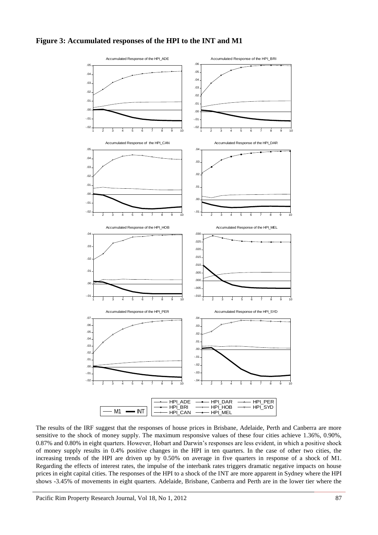### **Figure 3: Accumulated responses of the HPI to the INT and M1**



The results of the IRF suggest that the responses of house prices in Brisbane, Adelaide, Perth and Canberra are more sensitive to the shock of money supply. The maximum responsive values of these four cities achieve 1.36%, 0.90%, 0.87% and 0.80% in eight quarters. However, Hobart and Darwin"s responses are less evident, in which a positive shock of money supply results in 0.4% positive changes in the HPI in ten quarters. In the case of other two cities, the increasing trends of the HPI are driven up by 0.50% on average in five quarters in response of a shock of M1. Regarding the effects of interest rates, the impulse of the interbank rates triggers dramatic negative impacts on house prices in eight capital cities. The responses of the HPI to a shock of the INT are more apparent in Sydney where the HPI shows -3.45% of movements in eight quarters. Adelaide, Brisbane, Canberra and Perth are in the lower tier where the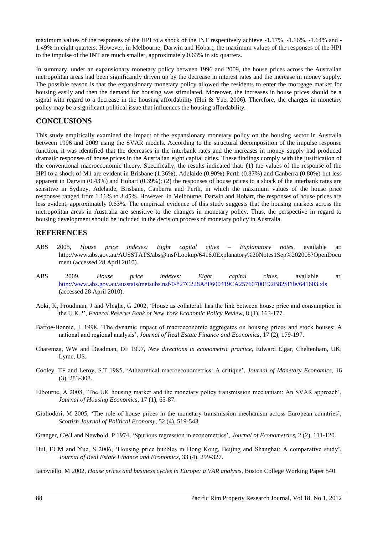maximum values of the responses of the HPI to a shock of the INT respectively achieve -1.17%, -1.16%, -1.64% and - 1.49% in eight quarters. However, in Melbourne, Darwin and Hobart, the maximum values of the responses of the HPI to the impulse of the INT are much smaller, approximately 0.63% in six quarters.

In summary, under an expansionary monetary policy between 1996 and 2009, the house prices across the Australian metropolitan areas had been significantly driven up by the decrease in interest rates and the increase in money supply. The possible reason is that the expansionary monetary policy allowed the residents to enter the mortgage market for housing easily and then the demand for housing was stimulated. Moreover, the increases in house prices should be a signal with regard to a decrease in the housing affordability (Hui & Yue, 2006). Therefore, the changes in monetary policy may be a significant political issue that influences the housing affordability.

# **CONCLUSIONS**

This study empirically examined the impact of the expansionary monetary policy on the housing sector in Australia between 1996 and 2009 using the SVAR models. According to the structural decomposition of the impulse response function, it was identified that the decreases in the interbank rates and the increases in money supply had produced dramatic responses of house prices in the Australian eight capital cities. These findings comply with the justification of the conventional macroeconomic theory. Specifically, the results indicated that: (1) the values of the response of the HPI to a shock of M1 are evident in Brisbane (1.36%), Adelaide (0.90%) Perth (0.87%) and Canberra (0.80%) but less apparent in Darwin (0.43%) and Hobart (0.39%); (2) the responses of house prices to a shock of the interbank rates are sensitive in Sydney, Adelaide, Brisbane, Canberra and Perth, in which the maximum values of the house price responses ranged from 1.16% to 3.45%. However, in Melbourne, Darwin and Hobart, the responses of house prices are less evident, approximately 0.63%. The empirical evidence of this study suggests that the housing markets across the metropolitan areas in Australia are sensitive to the changes in monetary policy. Thus, the perspective in regard to housing development should be included in the decision process of monetary policy in Australia.

### **REFERENCES**

- ABS 2005, *House price indexes: Eight capital cities – Explanatory notes*, available at: http://www.abs.gov.au/AUSSTATS/abs@.nsf/Lookup/6416.0Explanatory%20Notes1Sep%202005?OpenDocu ment (accessed 28 April 2010).
- ABS 2009, *House price indexes: Eight capital cities*, available at: [http://www.abs.gov.au/ausstats/meisubs.nsf/0/827C228A8F600419CA25760700192B82\\$File/641603.xls](http://www.abs.gov.au/ausstats/meisubs.nsf/0/827C228A8F600419CA25760700192B82$File/641603.xls) (accessed 28 April 2010).
- Aoki, K, Proudman, J and Vleghe, G 2002, "House as collateral: has the link between house price and consumption in the U.K.?", *Federal Reserve Bank of New York Economic Policy Review*, 8 (1), 163-177.
- Baffoe-Bonnie, J. 1998, "The dynamic impact of macroeconomic aggregates on housing prices and stock houses: A national and regional analysis", *Journal of Real Estate Finance and Economics*, 17 (2), 179-197.
- Charemza, WW and Deadman, DF 1997, *New directions in econometric practice*, Edward Elgar, Cheltenham, UK, Lyme, US.
- Cooley, TF and Leroy, S.T 1985, "Atheoretical macroeconometrics: A critique", *Journal of Monetary Economics*, 16 (3), 283-308.
- Elbourne, A 2008, "The UK housing market and the monetary policy transmission mechanism: An SVAR approach", *Journal of Housing Economics*, 17 (1), 65-87.
- Giuliodori, M 2005, 'The role of house prices in the monetary transmission mechanism across European countries', *Scottish Journal of Political Economy*, 52 (4), 519-543.
- Granger, CWJ and Newbold, P 1974, "Spurious regression in econometrics", *Journal of Econometrics*, 2 (2), 111-120.
- Hui, ECM and Yue, S 2006, "Housing price bubbles in Hong Kong, Beijing and Shanghai: A comparative study", *Journal of Real Estate Finance and Economics*, 33 (4), 299-327.
- Iacoviello, M 2002, *House prices and business cycles in Europe: a VAR analysis*, Boston College Working Paper 540.